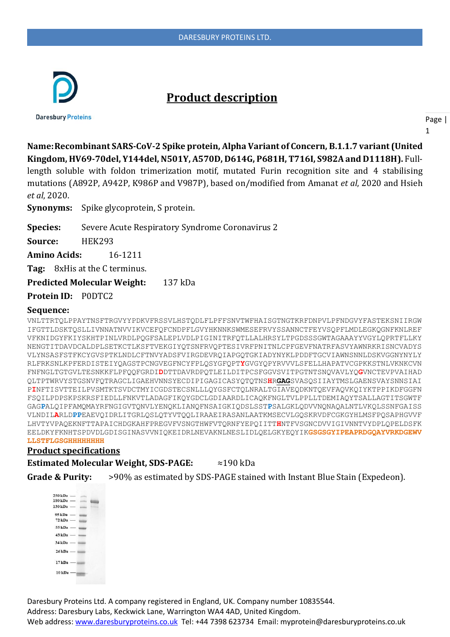

# **Product description**

**Daresbury Proteins** 

Page |

1

**Name:Recombinant SARS-CoV-2 Spike protein, Alpha Variant of Concern, B.1.1.7 variant (United Kingdom, HV69-70del, Y144del, N501Y, A570D, D614G, P681H, T716I, S982A and D1118H).** Full-

length soluble with foldon trimerization motif, mutated Furin recognition site and 4 stabilising mutations (A892P, A942P, K986P and V987P), based on/modified from Amanat *et al*, 2020 and Hsieh *et al*, 2020.

**Synonyms:** Spike glycoprotein, S protein.

**Species:** Severe Acute Respiratory Syndrome Coronavirus 2

**Source:** HEK293

**Amino Acids:** 16-1211

**Tag:** 8xHis at the C terminus.

**Predicted Molecular Weight:** 137 kDa

**Protein ID:** P0DTC2

#### **Sequence:**

VNLTTRTQLPPAYTNSFTRGVYYPDKVFRSSVLHSTQDLFLPFFSNVTWFHAISGTNGTKRFDNPVLPFNDGVYFASTEKSNIIRGW IFGTTLDSKTQSLLIVNNATNVVIKVCEFQFCNDPFLGVYHKNNKSWMESEFRVYSSANNCTFEYVSQPFLMDLEGKQGNFKNLREF VFKNIDGYFKIYSKHTPINLVRDLPQGFSALEPLVDLPIGINITRFQTLLALHRSYLTPGDSSSGWTAGAAAYYVGYLQPRTFLLKY NENGTITDAVDCALDPLSETKCTLKSFTVEKGIYQTSNFRVQPTESIVRFPNITNLCPFGEVFNATRFASVYAWNRKRISNCVADYS VLYNSASFSTFKCYGVSPTKLNDLCFTNVYADSFVIRGDEVRQIAPGQTGKIADYNYKLPDDFTGCVIAWNSNNLDSKVGGNYNYLY RLFRKSNLKPFERDISTEIYQAGSTPCNGVEGFNCYFPLQSYGFQPT**Y**GVGYQPYRVVVLSFELLHAPATVCGPKKSTNLVKNKCVN FNFNGLTGTGVLTESNKKFLPFQQFGRDI**D**DTTDAVRDPQTLEILDITPCSFGGVSVITPGTNTSNQVAVLYQ**G**VNCTEVPVAIHAD QLTPTWRVYSTGSNVFQTRAGCLIGAEHVNNSYECDIPIGAGICASYQTQTNS**H**R**GAG**SVASQSIIAYTMSLGAENSVAYSNNSIAI P**I**NFTISVTTEILPVSMTKTSVDCTMYICGDSTECSNLLLQYGSFCTQLNRALTGIAVEQDKNTQEVFAQVKQIYKTPPIKDFGGFN FSQILPDPSKPSKRSFIEDLLFNKVTLADAGFIKQYGDCLGDIAARDLICAQKFNGLTVLPPLLTDEMIAQYTSALLAGTITSGWTF GAG**P**ALQIPFAMQMAYRFNGIGVTQNVLYENQKLIANQFNSAIGKIQDSLSST**P**SALGKLQDVVNQNAQALNTLVKQLSSNFGAISS VLNDIL**A**RLD**PP**EAEVQIDRLITGRLQSLQTYVTQQLIRAAEIRASANLAATKMSECVLGQSKRVDFCGKGYHLMSFPQSAPHGVVF LHVTYVPAQEKNFTTAPAICHDGKAHFPREGVFVSNGTHWFVTQRNFYEPQIITT**H**NTFVSGNCDVVIGIVNNTVYDPLQPELDSFK EELDKYFKNHTSPDVDLGDISGINASVVNIQKEIDRLNEVAKNLNESLIDLQELGKYEQYIK**GSGSGYIPEAPRDGQAYVRKDGEWV LLSTFLGSGHHHHHHHH**

### **Product specifications**

**Estimated Molecular Weight, SDS-PAGE:** ≈190 kDa

**Grade & Purity:** >90% as estimated by SDS-PAGE stained with Instant Blue Stain (Expedeon).

 $250 \text{ kDa}$  $180 \text{ kDa}$  –  $130$  kDa –  $95$  kDa  $72$  kDa  $-$ 55 kDa - $43 \text{ kDa}$  — 34 kDa - $26$  kDa  $17kDa$  $10 \text{ kDa}$  – **THEFT** 

Daresbury Proteins Ltd. A company registered in England, UK. Company number 10835544.

Address: Daresbury Labs, Keckwick Lane, Warrington WA4 4AD, United Kingdom.

Web address[: www.daresburyproteins.co.uk](http://www.daresburyproteins.co.uk/) Tel: +44 7398 623734 Email: myprotein@daresburyproteins.co.uk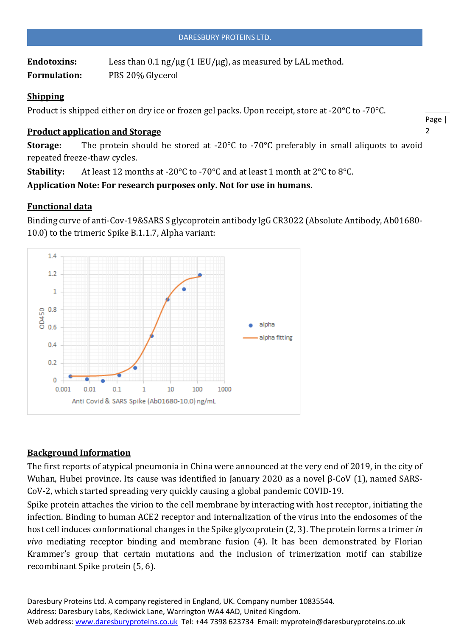Endotoxins: Less than 0.1 ng/µg (1 IEU/µg), as measured by LAL method. **Formulation:** PBS 20% Glycerol

# **Shipping**

Product is shipped either on dry ice or frozen gel packs. Upon receipt, store at -20°C to -70°C.

## **Product application and Storage**

Page |  $\overline{2}$ 

**Storage:** The protein should be stored at -20°C to -70°C preferably in small aliquots to avoid repeated freeze-thaw cycles.

**Stability:** At least 12 months at -20°C to -70°C and at least 1 month at 2°C to 8°C.

**Application Note: For research purposes only. Not for use in humans.**

# **Functional data**



Binding curve of anti-Cov-19&SARS S glycoprotein antibody IgG CR3022 (Absolute Antibody, Ab01680- 10.0) to the trimeric Spike B.1.1.7, Alpha variant:

# **Background Information**

The first reports of atypical pneumonia in China were announced at the very end of 2019, in the city of Wuhan, Hubei province. Its cause was identified in January 2020 as a novel β-CoV (1), named SARS-CoV-2, which started spreading very quickly causing a global pandemic COVID-19.

Spike protein attaches the virion to the cell membrane by interacting with host receptor, initiating the infection. Binding to human ACE2 receptor and internalization of the virus into the endosomes of the host cell induces conformational changes in the Spike glycoprotein (2, 3). The protein forms a trimer *in vivo* mediating receptor binding and membrane fusion (4). It has been demonstrated by Florian Krammer's group that certain mutations and the inclusion of trimerization motif can stabilize recombinant Spike protein (5, 6).

Daresbury Proteins Ltd. A company registered in England, UK. Company number 10835544. Address: Daresbury Labs, Keckwick Lane, Warrington WA4 4AD, United Kingdom. Web address[: www.daresburyproteins.co.uk](http://www.daresburyproteins.co.uk/) Tel: +44 7398 623734 Email: myprotein@daresburyproteins.co.uk